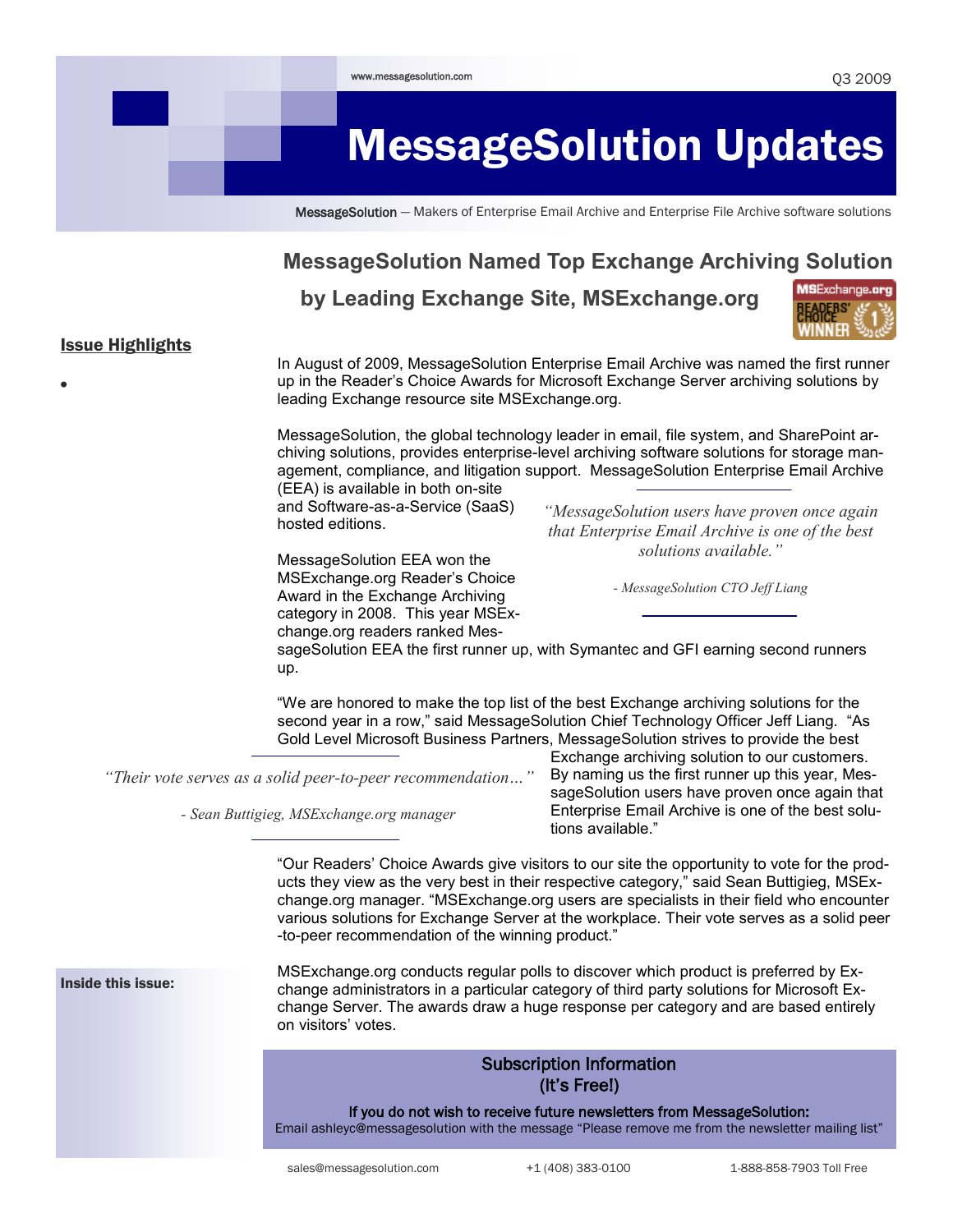

# **MessageSolution Named Top Exchange Archiving Solution**

**by Leading Exchange Site, MSExchange.org**



### Issue Highlights

In August of 2009, MessageSolution Enterprise Email Archive was named the first runner up in the Reader's Choice Awards for Microsoft Exchange Server archiving solutions by leading Exchange resource site MSExchange.org.

MessageSolution, the global technology leader in email, file system, and SharePoint archiving solutions, provides enterprise-level archiving software solutions for storage management, compliance, and litigation support. MessageSolution Enterprise Email Archive (EEA) is available in both on-site

and Software-as-a-Service (SaaS) hosted editions.

MessageSolution EEA won the MSExchange.org Reader's Choice Award in the Exchange Archiving category in 2008. This year MSExchange.org readers ranked Mes*"MessageSolution users have proven once again that Enterprise Email Archive is one of the best solutions available."*

*- MessageSolution CTO Jeff Liang*

sageSolution EEA the first runner up, with Symantec and GFI earning second runners up.

"We are honored to make the top list of the best Exchange archiving solutions for the second year in a row," said MessageSolution Chief Technology Officer Jeff Liang. "As Gold Level Microsoft Business Partners, MessageSolution strives to provide the best

*"Their vote serves as a solid peer-to-peer recommendation…"*

*- Sean Buttigieg, MSExchange.org manager*

Exchange archiving solution to our customers. By naming us the first runner up this year, MessageSolution users have proven once again that Enterprise Email Archive is one of the best solutions available."

"Our Readers' Choice Awards give visitors to our site the opportunity to vote for the products they view as the very best in their respective category," said Sean Buttigieg, MSExchange.org manager. "MSExchange.org users are specialists in their field who encounter various solutions for Exchange Server at the workplace. Their vote serves as a solid peer -to-peer recommendation of the winning product."

Inside this issue:

MSExchange.org conducts regular polls to discover which product is preferred by Exchange administrators in a particular category of third party solutions for Microsoft Exchange Server. The awards draw a huge response per category and are based entirely on visitors' votes.

### Subscription Information (It's Free!)

If you do not wish to receive future newsletters from MessageSolution: Email ashleyc@messagesolution with the message "Please remove me from the newsletter mailing list"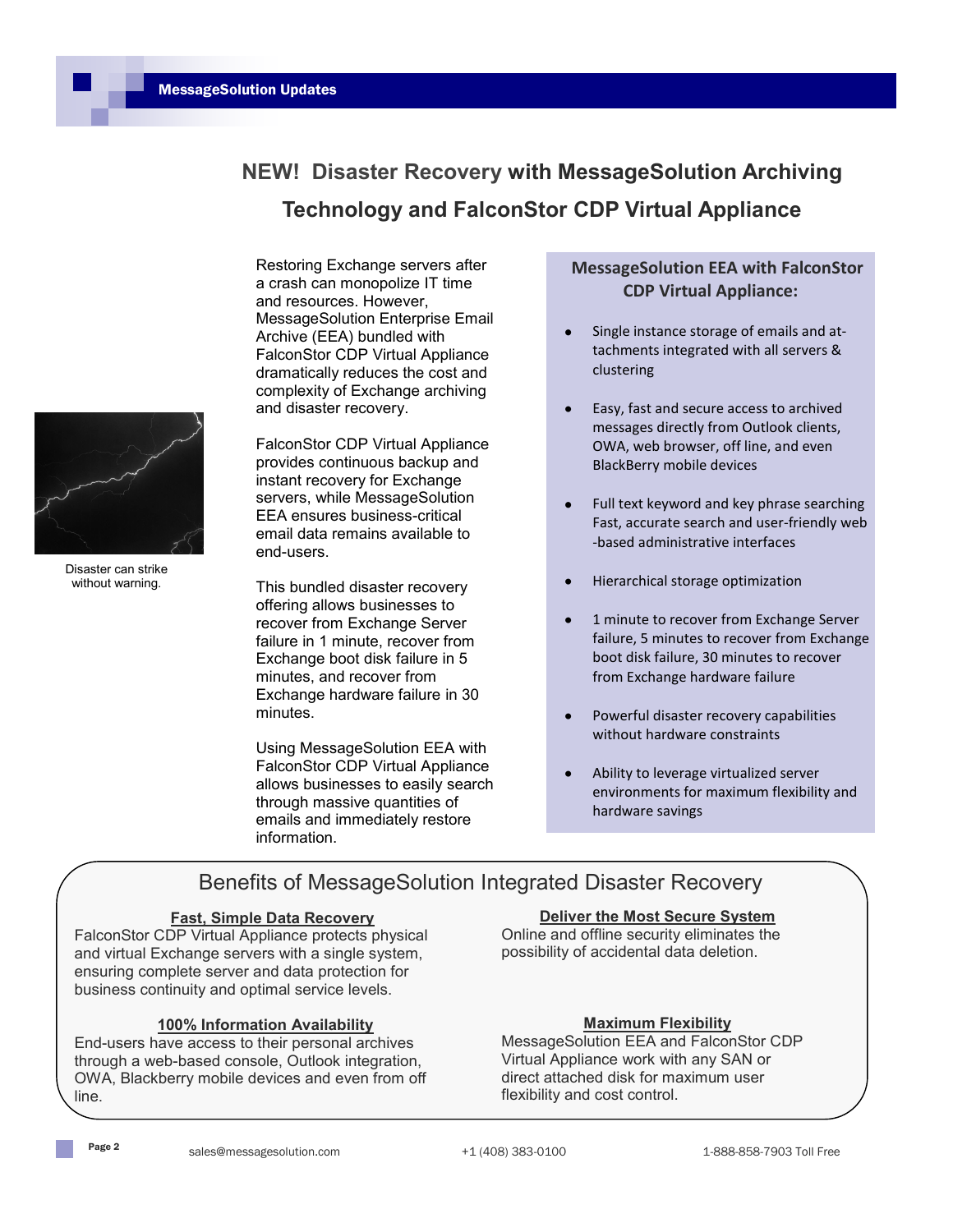

Disaster can strike without warning.

**NEW! Disaster Recovery with MessageSolution Archiving Technology and FalconStor CDP Virtual Appliance**

Restoring Exchange servers after a crash can monopolize IT time and resources. However, MessageSolution Enterprise Email Archive (EEA) bundled with FalconStor CDP Virtual Appliance dramatically reduces the cost and complexity of Exchange archiving and disaster recovery.

FalconStor CDP Virtual Appliance provides continuous backup and instant recovery for Exchange servers, while MessageSolution EEA ensures business-critical email data remains available to end-users.

This bundled disaster recovery offering allows businesses to recover from Exchange Server failure in 1 minute, recover from Exchange boot disk failure in 5 minutes, and recover from Exchange hardware failure in 30 minutes.

Using MessageSolution EEA with FalconStor CDP Virtual Appliance allows businesses to easily search through massive quantities of emails and immediately restore information.

### **MessageSolution EEA with FalconStor CDP Virtual Appliance:**

- Single instance storage of emails and attachments integrated with all servers & clustering
- Easy, fast and secure access to archived messages directly from Outlook clients, OWA, web browser, off line, and even BlackBerry mobile devices
- Full text keyword and key phrase searching Fast, accurate search and user-friendly web -based administrative interfaces
- Hierarchical storage optimization
- 1 minute to recover from Exchange Server failure, 5 minutes to recover from Exchange boot disk failure, 30 minutes to recover from Exchange hardware failure
- Powerful disaster recovery capabilities  $\bullet$ without hardware constraints
- Ability to leverage virtualized server environments for maximum flexibility and hardware savings

## Benefits of MessageSolution Integrated Disaster Recovery

### **Fast, Simple Data Recovery**

FalconStor CDP Virtual Appliance protects physical and virtual Exchange servers with a single system, ensuring complete server and data protection for business continuity and optimal service levels.

#### **100% Information Availability**

End-users have access to their personal archives through a web-based console, Outlook integration, OWA, Blackberry mobile devices and even from off line.

### **Deliver the Most Secure System**

Online and offline security eliminates the possibility of accidental data deletion.

#### **Maximum Flexibility**

MessageSolution EEA and FalconStor CDP Virtual Appliance work with any SAN or direct attached disk for maximum user flexibility and cost control.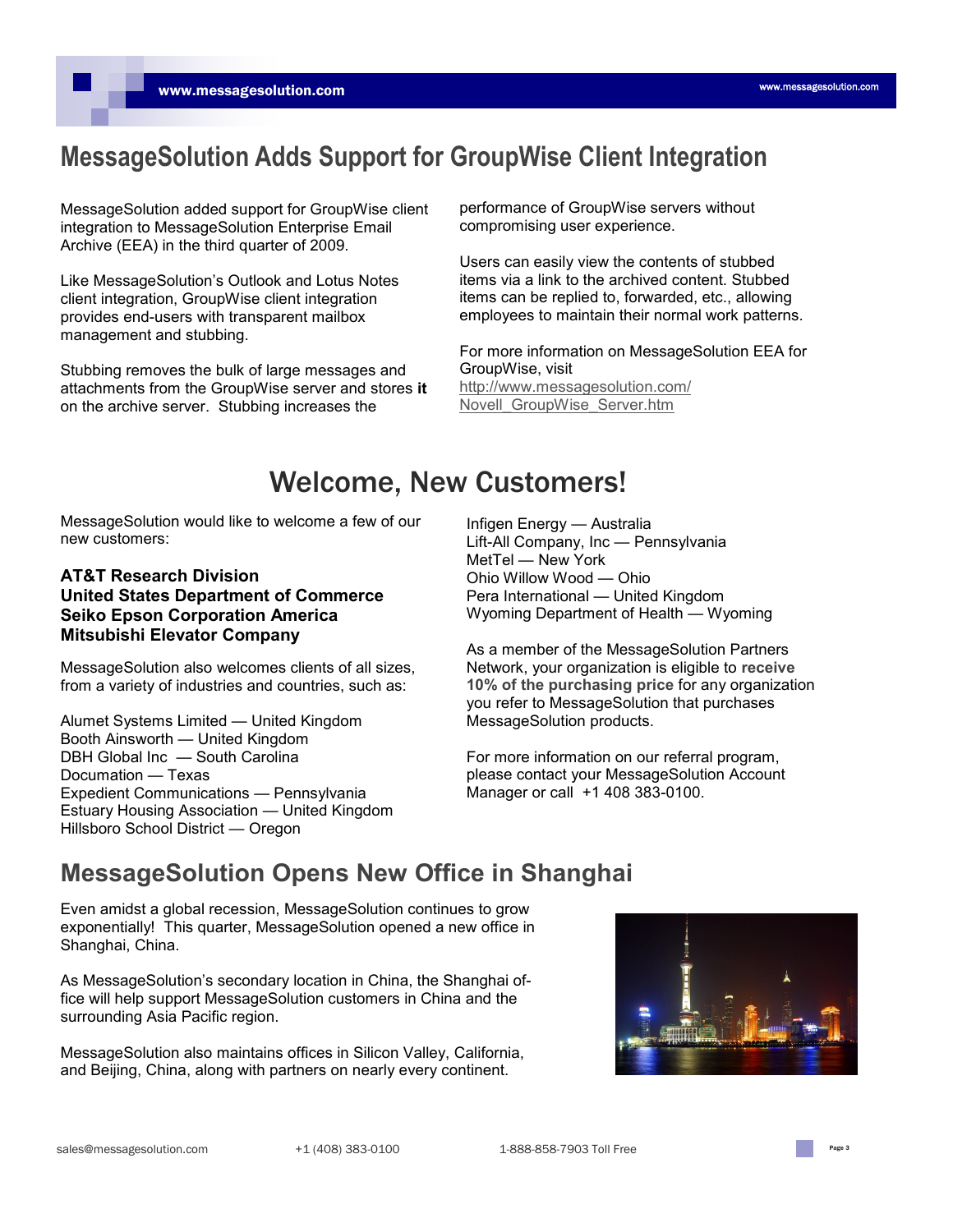## **MessageSolution Adds Support for GroupWise Client Integration**

MessageSolution added support for GroupWise client integration to MessageSolution Enterprise Email Archive (EEA) in the third quarter of 2009.

Like MessageSolution's Outlook and Lotus Notes client integration, GroupWise client integration provides end-users with transparent mailbox management and stubbing.

Stubbing removes the bulk of large messages and attachments from the GroupWise server and stores **it**  on the archive server. Stubbing increases the

performance of GroupWise servers without compromising user experience.

Users can easily view the contents of stubbed items via a link to the archived content. Stubbed items can be replied to, forwarded, etc., allowing employees to maintain their normal work patterns.

For more information on MessageSolution EEA for GroupWise, visit [http://www.messagesolution.com/](http://www.messagesolution.com/Novell_GroupWise_Server.htm) [Novell\\_GroupWise\\_Server.htm](http://www.messagesolution.com/Novell_GroupWise_Server.htm)

# Welcome, New Customers!

MessageSolution would like to welcome a few of our new customers:

### **AT&T Research Division United States Department of Commerce Seiko Epson Corporation America Mitsubishi Elevator Company**

MessageSolution also welcomes clients of all sizes, from a variety of industries and countries, such as:

Alumet Systems Limited — United Kingdom Booth Ainsworth — United Kingdom DBH Global Inc — South Carolina Documation — Texas Expedient Communications — Pennsylvania Estuary Housing Association — United Kingdom Hillsboro School District — Oregon

Infigen Energy — Australia Lift-All Company, Inc — Pennsylvania MetTel — New York Ohio Willow Wood — Ohio Pera International — United Kingdom Wyoming Department of Health — Wyoming

As a member of the MessageSolution Partners Network, your organization is eligible to **receive 10% of the purchasing price** for any organization you refer to MessageSolution that purchases MessageSolution products.

For more information on our referral program, please contact your MessageSolution Account Manager or call +1 408 383-0100.

## **MessageSolution Opens New Office in Shanghai**

Even amidst a global recession, MessageSolution continues to grow exponentially! This quarter, MessageSolution opened a new office in Shanghai, China.

As MessageSolution's secondary location in China, the Shanghai office will help support MessageSolution customers in China and the surrounding Asia Pacific region.

MessageSolution also maintains offices in Silicon Valley, California, and Beijing, China, along with partners on nearly every continent.

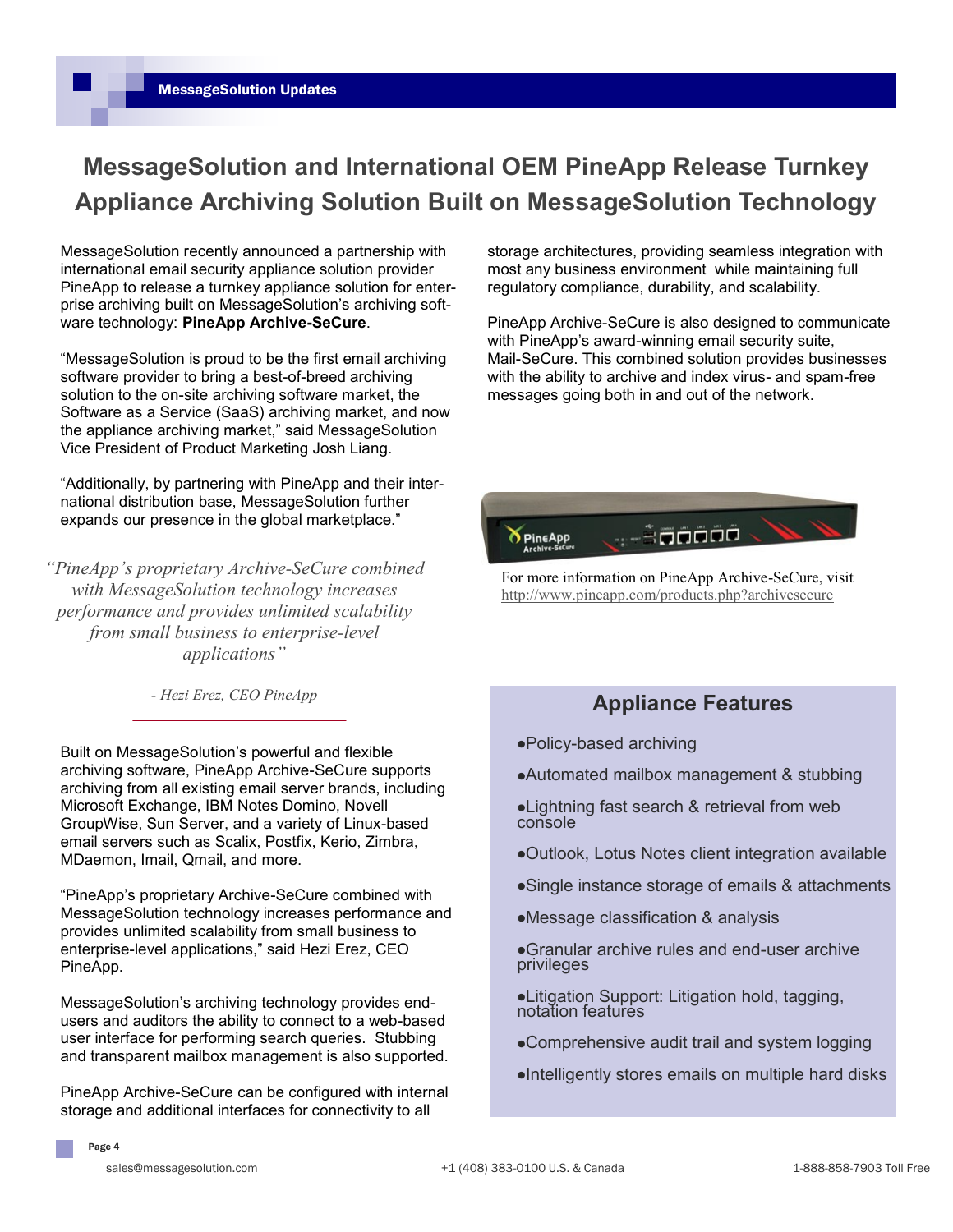# **MessageSolution and International OEM PineApp Release Turnkey Appliance Archiving Solution Built on MessageSolution Technology**

MessageSolution recently announced a partnership with international email security appliance solution provider PineApp to release a turnkey appliance solution for enterprise archiving built on MessageSolution's archiving software technology: **PineApp Archive-SeCure**.

"MessageSolution is proud to be the first email archiving software provider to bring a best-of-breed archiving solution to the on-site archiving software market, the Software as a Service (SaaS) archiving market, and now the appliance archiving market," said MessageSolution Vice President of Product Marketing Josh Liang.

"Additionally, by partnering with PineApp and their international distribution base, MessageSolution further expands our presence in the global marketplace."

*"PineApp's proprietary Archive-SeCure combined with MessageSolution technology increases performance and provides unlimited scalability from small business to enterprise-level applications"* 

Built on MessageSolution's powerful and flexible archiving software, PineApp Archive-SeCure supports archiving from all existing email server brands, including Microsoft Exchange, IBM Notes Domino, Novell GroupWise, Sun Server, and a variety of Linux-based email servers such as Scalix, Postfix, Kerio, Zimbra, MDaemon, Imail, Qmail, and more.

"PineApp's proprietary Archive-SeCure combined with MessageSolution technology increases performance and provides unlimited scalability from small business to enterprise-level applications," said Hezi Erez, CEO PineApp.

MessageSolution's archiving technology provides endusers and auditors the ability to connect to a web-based user interface for performing search queries. Stubbing and transparent mailbox management is also supported.

PineApp Archive-SeCure can be configured with internal storage and additional interfaces for connectivity to all

storage architectures, providing seamless integration with most any business environment while maintaining full regulatory compliance, durability, and scalability.

PineApp Archive-SeCure is also designed to communicate with PineApp's award-winning email security suite. Mail-SeCure. This combined solution provides businesses with the ability to archive and index virus- and spam-free messages going both in and out of the network.



For more information on PineApp Archive-SeCure, visit <http://www.pineapp.com/products.php?archivesecure>

## *- Hezi Erez, CEO PineApp* **Appliance Features**

- Policy-based archiving
- Automated mailbox management & stubbing

Lightning fast search & retrieval from web console

- Outlook, Lotus Notes client integration available
- Single instance storage of emails & attachments
- Message classification & analysis

Granular archive rules and end-user archive privileges

- Litigation Support: Litigation hold, tagging, notation features
- Comprehensive audit trail and system logging
- Intelligently stores emails on multiple hard disks